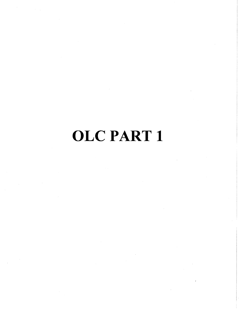# OLC PART 1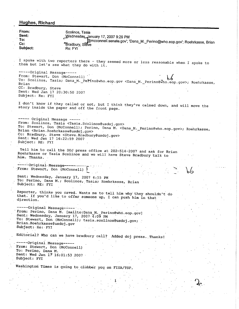| <b>Hughes, Richard</b>       |                                                                                                                                                                          |  |
|------------------------------|--------------------------------------------------------------------------------------------------------------------------------------------------------------------------|--|
| From:<br>Sent:               | Scolinos, Tasia                                                                                                                                                          |  |
| To:                          | Wednesday January 17, 2007 9:29 PM                                                                                                                                       |  |
| $Cc$ :                       | @mcconnell.senate.gov'; 'Dana_M._Perino@who.eop.gov'; Roehrkasse, Brian<br>Bradbury, Steve                                                                               |  |
| Subject:                     | Re: FYI                                                                                                                                                                  |  |
|                              |                                                                                                                                                                          |  |
|                              | I spoke with two reporters there - they seemed more or less reasonable when I spoke to<br>them but let's see what they do with it.                                       |  |
| -----Original Message-----   |                                                                                                                                                                          |  |
|                              | From: Stewart, Don (McConnell)<br>To: Scolinos, Tasia; Dana_M._Perino@who.eop.gov <dana_m._perino@who.eop.gov>; Roehrkasse,</dana_m._perino@who.eop.gov>                 |  |
| Brian                        |                                                                                                                                                                          |  |
| CC: Bradbury, Steve          | Sent: Wed Jan 17 20:30:50 2007                                                                                                                                           |  |
| Subject: Re: FYI             |                                                                                                                                                                          |  |
|                              |                                                                                                                                                                          |  |
|                              | I don't know if they called or not, but I think they've calmed down, and will move the<br>story inside the paper and off the front page.                                 |  |
|                              |                                                                                                                                                                          |  |
| ----- Original Message ----- |                                                                                                                                                                          |  |
|                              | From: Scolinos, Tasia <tasia. scolinos@usdoj.gov=""></tasia.>                                                                                                            |  |
|                              | To: Stewart, Don (McConnell); Perino, Dana M. <dana m.="" perino@who.eop.gov="">; Roehrkasse,<br/>Brian <brian.roehrkasse@usdoj.gov></brian.roehrkasse@usdoj.gov></dana> |  |
|                              | Cc: Bradbury, Steve <steve.bradbury@usdoj.gov></steve.bradbury@usdoj.gov>                                                                                                |  |
| Subject: RE: FYI             | Sent: Wed Jan 17 16:22:59 2007                                                                                                                                           |  |
|                              |                                                                                                                                                                          |  |
| him. Thanks.                 | Tell him to call the DOJ press office at 202-514-2007 and ask for Brian<br>Roehrkasse or Tasia Scolinos and we will have Steve Bradbury talk to                          |  |
| ------Original Message-----  |                                                                                                                                                                          |  |
|                              | From: Stewart, Don (McConnell)                                                                                                                                           |  |
|                              | Sent: Wednesday, January 17, 2007 4:15 PM                                                                                                                                |  |
|                              | To: Perino, Dana M.; Scolinos, Tasia; Roehrkasse, Brian                                                                                                                  |  |
| Subject: RE: FYI             |                                                                                                                                                                          |  |
|                              | Reporter, thinks you caved. Wants me to tell him why they shouldn't do                                                                                                   |  |
|                              | that. If you'd like to offer someone up, I can push him in that                                                                                                          |  |
| direction.                   |                                                                                                                                                                          |  |
| -----Original Message-----   |                                                                                                                                                                          |  |
|                              | From: Perino, Dana M. [mailto:Dana M. Perino@who.eop.gov]<br>Sent: Wednesday, January 17, 2007 4:09 PM                                                                   |  |
|                              | To: Stewart, Don (McConnell); tasia.scolinos@usdoj.gov;                                                                                                                  |  |
| Brian.Roehrkasse@usdoj.gov   |                                                                                                                                                                          |  |
| Subject: Re: FYI             |                                                                                                                                                                          |  |
|                              | Editorial? Who can we have bradbury call? Added doj press. Thanks!                                                                                                       |  |
| ------Original Message ----- |                                                                                                                                                                          |  |
|                              | From: Stewart, Don (McConnell)                                                                                                                                           |  |
| To: Perino, Dana M.          |                                                                                                                                                                          |  |
| Subject: FYI                 | Sent: Wed Jan 17 16:01:53 2007 -                                                                                                                                         |  |
|                              |                                                                                                                                                                          |  |
|                              | Washington Times is going to clobber you on FISA/TSP.                                                                                                                    |  |
|                              |                                                                                                                                                                          |  |
|                              |                                                                                                                                                                          |  |
|                              |                                                                                                                                                                          |  |
|                              |                                                                                                                                                                          |  |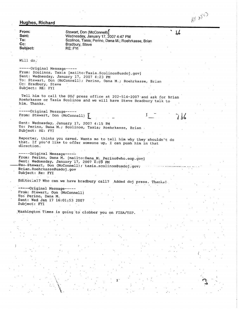# **Hughes, Richard**

 $\frac{1}{2}$ 

 $\cdot$  .

 $\gamma_{\alpha}$ 

 $\ddot{\phantom{a}}$  $\bar{z}$ 

| Will do.<br>------Original Message-----<br>From: Scolinos, Tasia [mailto:Tasia.Scolinos@usdoj.gov]<br>Sent: Wednesday, January 17, 2007 4:23 PM<br>To: Stewart, Don (McConnell); Perino, Dana M.; Roehrkasse, Brian<br>Cc: Bradbury, Steve<br>Subject: RE: FYI<br>Tell him to call the DOJ press office at 202-514-2007 and ask for Brian<br>Roehrkasse or Tasia Scolinos and we will have Steve Bradbury talk to<br>him. Thanks.<br>-----Original Message-----<br>From: Stewart, Don (McConnell)  <br>$J\,b6$<br>Sent: Wednesday, January 17, 2007 4:15 PM<br>To: Perino, Dana M.; Scolinos, Tasia; Roehrkasse, Brian.<br>Subject: RE: FYI<br>Reporter, thinks you caved. Wants me to tell him why they shouldn't do<br>that. If you'd like to offer someone up, I can push him in that<br>direction.<br>-----Original Message-----<br>From: Perino, Dana M. [mailto:Dana M. Perino@who.eop.gov]<br>Sent: Wednesday, January 17, 2007 4:09 PM<br>To:-Stewart, Don (McConnell); tasia.scolinos@usdoj.gov;<br>Brian.Roehrkasse@usdoj.gov<br>Subject: Re: FYI<br>Editorial? Who can we have bradbury call? Added doj press. Thanks!<br>-----Original Message-----<br>From: Stewart, Don (McConnell)<br>To: Perino, Dana M.<br>Sent: Wed Jan 17 16:01:53 2007<br>Subject: FYI<br>Washington Times is going to clobber you on FISA/TSP. | From:<br>Sent:<br>To:<br>Cc:<br>Subject: | Stewart, Don (McConnell)<br>Wednesday, January 17, 2007 4:47 PM<br>Scolinos, Tasia; Perino, Dana M.; Roehrkasse, Brian<br>Bradbury, Steve<br>RE: FYI |  | $\mathcal{P}$ |  |
|-------------------------------------------------------------------------------------------------------------------------------------------------------------------------------------------------------------------------------------------------------------------------------------------------------------------------------------------------------------------------------------------------------------------------------------------------------------------------------------------------------------------------------------------------------------------------------------------------------------------------------------------------------------------------------------------------------------------------------------------------------------------------------------------------------------------------------------------------------------------------------------------------------------------------------------------------------------------------------------------------------------------------------------------------------------------------------------------------------------------------------------------------------------------------------------------------------------------------------------------------------------------------------------------------------------------------------------|------------------------------------------|------------------------------------------------------------------------------------------------------------------------------------------------------|--|---------------|--|
|                                                                                                                                                                                                                                                                                                                                                                                                                                                                                                                                                                                                                                                                                                                                                                                                                                                                                                                                                                                                                                                                                                                                                                                                                                                                                                                                     |                                          |                                                                                                                                                      |  |               |  |
|                                                                                                                                                                                                                                                                                                                                                                                                                                                                                                                                                                                                                                                                                                                                                                                                                                                                                                                                                                                                                                                                                                                                                                                                                                                                                                                                     |                                          |                                                                                                                                                      |  |               |  |
|                                                                                                                                                                                                                                                                                                                                                                                                                                                                                                                                                                                                                                                                                                                                                                                                                                                                                                                                                                                                                                                                                                                                                                                                                                                                                                                                     |                                          |                                                                                                                                                      |  |               |  |
|                                                                                                                                                                                                                                                                                                                                                                                                                                                                                                                                                                                                                                                                                                                                                                                                                                                                                                                                                                                                                                                                                                                                                                                                                                                                                                                                     |                                          |                                                                                                                                                      |  |               |  |
|                                                                                                                                                                                                                                                                                                                                                                                                                                                                                                                                                                                                                                                                                                                                                                                                                                                                                                                                                                                                                                                                                                                                                                                                                                                                                                                                     |                                          |                                                                                                                                                      |  |               |  |
|                                                                                                                                                                                                                                                                                                                                                                                                                                                                                                                                                                                                                                                                                                                                                                                                                                                                                                                                                                                                                                                                                                                                                                                                                                                                                                                                     |                                          |                                                                                                                                                      |  |               |  |
|                                                                                                                                                                                                                                                                                                                                                                                                                                                                                                                                                                                                                                                                                                                                                                                                                                                                                                                                                                                                                                                                                                                                                                                                                                                                                                                                     |                                          |                                                                                                                                                      |  |               |  |
|                                                                                                                                                                                                                                                                                                                                                                                                                                                                                                                                                                                                                                                                                                                                                                                                                                                                                                                                                                                                                                                                                                                                                                                                                                                                                                                                     |                                          |                                                                                                                                                      |  |               |  |
|                                                                                                                                                                                                                                                                                                                                                                                                                                                                                                                                                                                                                                                                                                                                                                                                                                                                                                                                                                                                                                                                                                                                                                                                                                                                                                                                     |                                          |                                                                                                                                                      |  |               |  |
|                                                                                                                                                                                                                                                                                                                                                                                                                                                                                                                                                                                                                                                                                                                                                                                                                                                                                                                                                                                                                                                                                                                                                                                                                                                                                                                                     |                                          |                                                                                                                                                      |  |               |  |
|                                                                                                                                                                                                                                                                                                                                                                                                                                                                                                                                                                                                                                                                                                                                                                                                                                                                                                                                                                                                                                                                                                                                                                                                                                                                                                                                     |                                          |                                                                                                                                                      |  |               |  |
|                                                                                                                                                                                                                                                                                                                                                                                                                                                                                                                                                                                                                                                                                                                                                                                                                                                                                                                                                                                                                                                                                                                                                                                                                                                                                                                                     |                                          |                                                                                                                                                      |  |               |  |
|                                                                                                                                                                                                                                                                                                                                                                                                                                                                                                                                                                                                                                                                                                                                                                                                                                                                                                                                                                                                                                                                                                                                                                                                                                                                                                                                     |                                          |                                                                                                                                                      |  |               |  |
|                                                                                                                                                                                                                                                                                                                                                                                                                                                                                                                                                                                                                                                                                                                                                                                                                                                                                                                                                                                                                                                                                                                                                                                                                                                                                                                                     |                                          |                                                                                                                                                      |  |               |  |
|                                                                                                                                                                                                                                                                                                                                                                                                                                                                                                                                                                                                                                                                                                                                                                                                                                                                                                                                                                                                                                                                                                                                                                                                                                                                                                                                     |                                          |                                                                                                                                                      |  |               |  |

 $\frac{1}{2}$ 

 $\sim 10^7$ 

 $\frac{1}{2} \sum_{i=1}^n \frac{1}{2} \sum_{j=1}^n \frac{1}{2} \sum_{j=1}^n \frac{1}{2} \sum_{j=1}^n \frac{1}{2} \sum_{j=1}^n \frac{1}{2} \sum_{j=1}^n \frac{1}{2} \sum_{j=1}^n \frac{1}{2} \sum_{j=1}^n \frac{1}{2} \sum_{j=1}^n \frac{1}{2} \sum_{j=1}^n \frac{1}{2} \sum_{j=1}^n \frac{1}{2} \sum_{j=1}^n \frac{1}{2} \sum_{j=1}^n \frac{1}{2} \sum_{j=$ 

AN UYS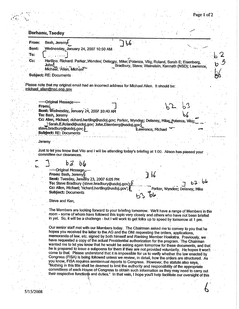| Page 1 of 2 |
|-------------|
|             |

|       | Bash, Jeremy<br>From:<br>56                                                                                                                                                                           |                                                                                                |  |
|-------|-------------------------------------------------------------------------------------------------------------------------------------------------------------------------------------------------------|------------------------------------------------------------------------------------------------|--|
| Sent: | Wednesday, January 24, 2007 10:50 AM                                                                                                                                                                  |                                                                                                |  |
| To:   |                                                                                                                                                                                                       |                                                                                                |  |
| cc:   |                                                                                                                                                                                                       |                                                                                                |  |
|       | Hertling. Richard: Parker, Wyndee; Delaney, Mike; Potenza, Vito; Roland, Sarah E; Eisenberg,<br>John <sub>i</sub>                                                                                     | Bradbury, Steve; Wainstein, Kenneth (NSD); Lawrence,                                           |  |
|       | Michael; 'Allen, Michael''                                                                                                                                                                            |                                                                                                |  |
|       | <b>Subject: RE: Documents</b>                                                                                                                                                                         |                                                                                                |  |
|       |                                                                                                                                                                                                       |                                                                                                |  |
|       | Please note that my original email had an incorrect address for Michael Allen. It should be:<br>michael allen@nsc.eop.gov                                                                             |                                                                                                |  |
|       |                                                                                                                                                                                                       |                                                                                                |  |
|       |                                                                                                                                                                                                       |                                                                                                |  |
|       | -----Original Message-----                                                                                                                                                                            |                                                                                                |  |
|       | From:                                                                                                                                                                                                 |                                                                                                |  |
|       | Sent: Wednesday, January 24, 2007 10:40 AM                                                                                                                                                            |                                                                                                |  |
|       | To: Bash, Jeremy                                                                                                                                                                                      |                                                                                                |  |
|       | Cc: Allen, Michael; richard.hertling@usdoj.gov; Parker, Wyndee; Delaney, Mike: Potenza, Vito;                                                                                                         |                                                                                                |  |
|       | Sarah.E.Roland@usdoj.gov; John.Eisenberg@usdoj.gov;<br>steve.bradbury@usdoj.gov;                                                                                                                      |                                                                                                |  |
|       | Subject: RE: Documents                                                                                                                                                                                | Lawrence, Michael                                                                              |  |
|       |                                                                                                                                                                                                       |                                                                                                |  |
|       | Jeremy                                                                                                                                                                                                |                                                                                                |  |
|       |                                                                                                                                                                                                       |                                                                                                |  |
|       | Just to let you know that Vito and I will be attending today's briefing at 1:00. Alison has passed your                                                                                               |                                                                                                |  |
|       | committee our clearances.                                                                                                                                                                             |                                                                                                |  |
|       | b3<br>$b\omega$                                                                                                                                                                                       |                                                                                                |  |
|       |                                                                                                                                                                                                       |                                                                                                |  |
|       | ----Original Message                                                                                                                                                                                  |                                                                                                |  |
|       | From: Bash, Jeremy[                                                                                                                                                                                   | J<br>$b\mathbf{b}$                                                                             |  |
|       | Sent: Tuesday, January 23, 2007 6:05 PM<br>To: Steve Bradbury (steve.bradbury@usdoj.gov);                                                                                                             | $b^2 \cdot b^6$                                                                                |  |
|       | Cc: Allen, Michael; 'richard.hertling@usdoj.gov'; K                                                                                                                                                   |                                                                                                |  |
|       | <b>Subject: Documents</b>                                                                                                                                                                             | Parker, Wyndee; Delaney, Mike                                                                  |  |
|       |                                                                                                                                                                                                       | مان                                                                                            |  |
|       | Steve and Ken,                                                                                                                                                                                        |                                                                                                |  |
|       |                                                                                                                                                                                                       |                                                                                                |  |
|       | The Members are looking forward to your briefing tomorrow. We'll have a range of Members in the                                                                                                       |                                                                                                |  |
|       |                                                                                                                                                                                                       | room - some of whom have followed this topic very closely and others who have not been briefed |  |
|       |                                                                                                                                                                                                       |                                                                                                |  |
|       | in yet. So, it will be a challenge - but I will work to get folks up to speed by tomorrow at 1 pm.                                                                                                    |                                                                                                |  |
|       |                                                                                                                                                                                                       |                                                                                                |  |
|       | Our senior staff met with our Members today. The Chairman asked me to convey to you that he                                                                                                           |                                                                                                |  |
|       | hopes you received the letter to the AG and the DNI requesting the orders, applications,                                                                                                              |                                                                                                |  |
|       | memoranda of law, etc. signed by both himself and Ranking Member Hoekstra. Previously, we                                                                                                             |                                                                                                |  |
|       | have requested a copy of the actual Presidential authorization for the program. The Chairman                                                                                                          |                                                                                                |  |
|       | wanted me to let you know that he would be asking again tomorrow for these documents, and that                                                                                                        |                                                                                                |  |
|       | he is prepared to issue a subpoena for them if they are not provided voluntarily. He hopes it won't                                                                                                   |                                                                                                |  |
|       | come to that. Please understand that it is impossible for us to verify whether the law enacted by<br>Congress (FISA) is being followed unless we review, in detail, how the orders are structured. As |                                                                                                |  |
|       | you know, FISA requires semiannual reports to Congress. However, the statute also says,                                                                                                               |                                                                                                |  |
|       | "Nothing in this title shall be deemed to limit the authority and responsibility of the appropriate                                                                                                   |                                                                                                |  |
|       | committees of each House of Congress to obtain such information as they may need to carry out                                                                                                         |                                                                                                |  |
|       | their respective functions and duties." In that vein, I hope you'll help facilitate our oversight of this                                                                                             |                                                                                                |  |

 $\frac{1}{2}$ 

 $\mathcal{L}_{\text{eff}}$ 

 $\bar{\mathcal{A}}$ 

 $\frac{1}{2}$  ,  $\frac{1}{2}$ 

 $\mathbb{R}^2$  .

 $\mathcal{L}_{\mathcal{A}}$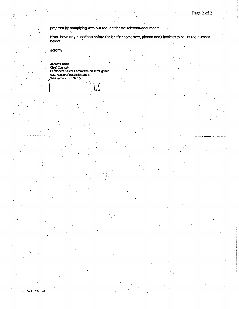program by complying with our request for the relevant documents.

If you have any questions before the briefing tomorrow, please don't hesitate to call at the number below.

Jeremy

 $5/15/2008$ 

 $\sigma_{\rm f}$  and  $\sigma_{\rm f}$ 

**Jeremy Bash**<br>Chief Counsel<br>Permanent Select Committee on Intelligence<br>U.S. House of Representatives<br>Washington, DC 20515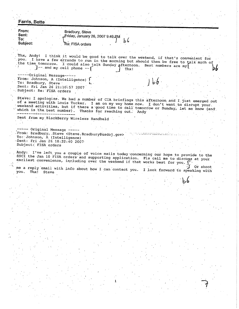Farris, Bette From: Bradbury, Steve Sent: Friday, January 26, 2007 9:49 RM  $\mathsf{To:}$ ما ط Subject: Re: FISA orders Thx, Andy! I think it would be good to talk over the weekend, if that's convenient for you. I have a few errands to run in the morning but should then be free to talk much of the time tomorrow. I could also talk Sunday afternoon. Best numbers are my  $]-$  and my cell phone  $-$ Thx! -----Original Message -----From: Johnson, A (Intelligence) To: Bradbury, Steve Sent: Fri Jan 26 21:10:57 2007 Subject: Re: FISA orders Steve: I apologize. We had a number of CIA briefings this afternoon and I just emerged out of a meeting with Louis Tucker. I am on my way home now. I don't want to disrupt your weekend activities, but if there a good time to call tomorrow or Sunday, let me know (and which is the best number). Thanks for reaching out. Andy Sent from my BlackBerry Wireless Handheld ---- Original Message -----From: Bradbury, Steve <Steve.Bradbury@usdoj.gov> <u>ng matanggunaan ana isa</u> To: Johnson, A (Intelligence) Sent: Fri Jan 26 18:22:40 2007 Subject: FISA orders Andy: I've left you a couple of voice mails today concerning our hope to provide to the SSCI the Jan 10 FISA orders and supporting application. Pls call me to discuss at your earliest convenience, including over the weekend if that works best for you. me a reply email with info about how I can contact you. Or shoot I look forward to speaking with you. Thx! Steve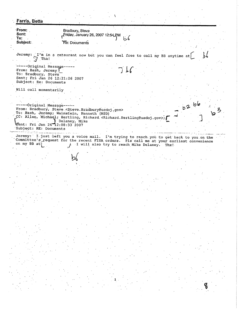**Farris, Bette** From: Bradbury, Steve Sent: Friday, January 26, 2007 12:54 PM To: りん Subject: Re: Documents Jeremy: I'm in a retaurant now but you can feel free to call my BB anytime at  $\bigtriangledown$ Thx! -----Original Message-From: Bash, Jeremy To: Bradbury, Steve Sent; Fri Jan 26 12:21:26 2007 Subject; Re: Documents Will call momentarily  $b2$   $b6$ -----Original Message-----From: Bradbury, Steve <Steve.Bradbury@usdoj.gov> To: Bash, Jeremy; Wainstein, Kenneth (NSD) CC: Allen, Michael; Hertling, Richard <Richard.Hertling@usdoj.gov>; Behaney, Mike Subject: RE: Documents الوادية المحافر والواقي ومواق Jeremy: I just left you a voice mail. I'm trying to reach you to get back to you on the Committee's request for the recent FISA orders. Pls call me at your earliest convenience on my BB at) I will also try to reach Mike Delaney. Thx!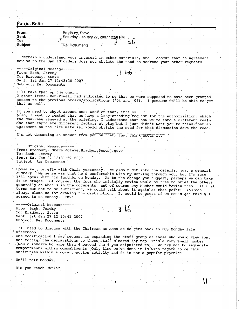| <b>Farris, Bette</b>                                                                                                                                                             |  |
|----------------------------------------------------------------------------------------------------------------------------------------------------------------------------------|--|
| From:<br>Bradbury, Steve                                                                                                                                                         |  |
| Sent:<br>Saturday, January 27, 2007 12:56 PM<br>$\mathbf{To:}$                                                                                                                   |  |
| Subject:<br>Re: Documents                                                                                                                                                        |  |
|                                                                                                                                                                                  |  |
|                                                                                                                                                                                  |  |
| I certainly understand your interest in other materials, and I concur that an agreement<br>now as to the Jan 10 orders does not obviate the need to address your other requests. |  |
|                                                                                                                                                                                  |  |
| -----Original Message-----<br>From: Bash, Jeremy                                                                                                                                 |  |
| To: Bradbury, Steve                                                                                                                                                              |  |
| Sent: Sat Jan 27 12:43:30 2007                                                                                                                                                   |  |
| Subject: Re: Documents                                                                                                                                                           |  |
| I'll take that up the chain.                                                                                                                                                     |  |
| 2 other items. Ben Powell had indicated to me that we were supposed to have been granted                                                                                         |  |
| access to the previous orders/applications ('04 and '06). I presume we'll be able to get<br>that as well.                                                                        |  |
|                                                                                                                                                                                  |  |
| If you need to check around next week on that, it's ok.<br>Also, I want to remind that we have a long-standing request for the authorization, which                              |  |
| the chairman renewed at the briefing. I understand that now we're into a different realm                                                                                         |  |
| and that there are different factors at play but I just didn't want you to think that an                                                                                         |  |
| agreement on the fisa material would obviate the need for that discussion down the road.                                                                                         |  |
| I'm not demanding an answer from you on that, just think about it.                                                                                                               |  |
|                                                                                                                                                                                  |  |
| ----Original Message-                                                                                                                                                            |  |
| From: Bradbury, Steve <steve.bradbury@usdoj.gov></steve.bradbury@usdoj.gov>                                                                                                      |  |
| To: Bash, Jeremy<br>Sent: Sat Jan 27 12:31:57 2007                                                                                                                               |  |
| Subject: Re: Documents                                                                                                                                                           |  |
|                                                                                                                                                                                  |  |
| Spoke very briefly with Chris yesterday. We didn't get into the details, just a general<br>summary. My sense was that he's comfortable with my working through you, but I'm sure |  |
| I'll speak with him further on Monday. As to the change you suggest, perhaps we can take                                                                                         |  |
| t in stages. Of course, the four who initially review would be free to brief the others                                                                                          |  |
| generally on what's in the documents, and of course any Member could review them. If that<br>turns out not to be sufficient, we could talk about it again at that point. You can |  |
| always blame us for drawing the distinction. It would be great if we could get this all                                                                                          |  |
| agreed to on Monday. Thx!                                                                                                                                                        |  |
| -----Original Messaqe-----                                                                                                                                                       |  |
| From: Bash, Jeremy                                                                                                                                                               |  |
| To: Bradbury, Steve<br>Sent: Sat Jan 27 12:10:41 2007                                                                                                                            |  |
| Subject: Re: Documents                                                                                                                                                           |  |
|                                                                                                                                                                                  |  |
| I'll need to discuss with the Chairman as soon as he gets back to DC, Monday late<br>afternoon.                                                                                  |  |
| One modification I may request is expanding the staff group of those who would view (but                                                                                         |  |
| not retain) the declarations to those staff cleared for tsp. It's a very small number.                                                                                           |  |
| (would involve no more than 4 beyond the 4 you stipulated to). We try not to segregate<br>compartments within compartments. Only time we've done it is with regard to certain    |  |
| activities within a covert action activity and it is not a popular practice.                                                                                                     |  |
| We'll talk Monday.                                                                                                                                                               |  |
|                                                                                                                                                                                  |  |
| Did you reach Chris?                                                                                                                                                             |  |
|                                                                                                                                                                                  |  |
|                                                                                                                                                                                  |  |
|                                                                                                                                                                                  |  |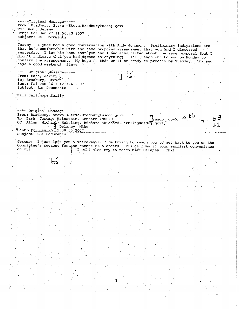--Original Message-----From: Bradbury, Steve <Steve.Bradbury@usdoj.gov> To: Bash, Jeremy Sent: Sat Jan 27 11:56:43 2007 Subject: Re: Documents Jeremy: I just had a good conversation with Andy Johnson. Preliminary indications are that he's comfortable with the same proposed arrangement that you and I discussed yesterday. I let him know that you and I had also talked about the same proposal (but I didn't indicate that you had agreed to anything). I'll reach out to you on Monday to confirm the arrangement. My hope is that we'll be ready to proceed by Tuesday. Thx and have a good weekend! Steve ------Original Message----- $\frac{1}{2}$ From: Bash, Jeremy To: Bradbury, Steve Sent: Fri Jan 26 12:21:26 2007 Subject: Re: Documents Will call momentarily -----Original Message-----From: Bradbury, Steve <Steve.Bradbury@usdoj.gov>  $b2 b6$ To: Bash, Jeremy; Wainstein, Kenneth (NSD) / <vop.idsu! CC: Allen, Michael; Hertling, Richard <Richard.Hertling@usdoj.gov>; Belaney, Mike Sent: Fri Jan 26 12:08:33 2007 Subject: RE: Documents Jeremy: I just left you a voice mail. I'm trying to reach you to get back to you on the Committee's request for the recent FISA orders. Pls call me at your earliest convenience on my! I will also try to reach Mike Delaney. Thx!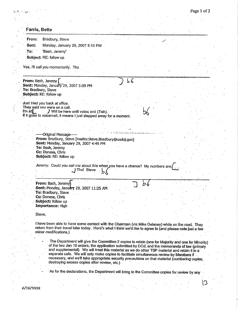## **Farris, Bette**

|       | From: Bradbury, Steve            |
|-------|----------------------------------|
| Sent: | Monday, January 29, 2007 5:10 PM |
| To:   | 'Bash, Jeremy'                   |
|       | Subjact: PE: follow un           |

Yes, I'll call you momentarily. Thx

From: Bash, Jeremy Sent: Monday, January 29, 2007 5:09 PM To: Bradbury, Steve Subject: RE: follow up

Just tried you back at office. They said you were on a call. I'm at $\mathfrak k$ ) Will be here until votes end (7ish). If it goes to voicemail, it means I just stepped away for a moment.

> -----Original Message-----From: Bradbury, Steve [mailto:Steve.Bradbury@usdoj.gov] Sent: Monday, January 29, 2007 4:49 PM To: Bash, Jeremy Cc: Donesa, Chris Subject: RE: follow up

Jeremy: Could you call me about this when you have a chance? My numbers are  $J$ Thx! Steve  $b_6$ 

From: Bash. Jeremy Sent: Monday, January 29, 2007 11:25 AM To: Bradbury, Steve Cc: Donesa, Chris Subject: follow up **Importance: High** 

Steve.

I have been able to have some contact with the Chairman (via Mike Delaney) while on the road. They return from their travel later today. Here's what I think we'd like to agree to (and please note just a few minor modifications.)

The Department will give the Committee 2 copies to retain (one for Majority and one for Minority) of the two Jan 10 orders, the application submitted by DOJ, and the memoranda of law (primary and supplemental). We will treat this material as we do other TSP material and retain it in a separate safe. We will only make copies to facilitate simultaneous review by Members if necessary, and we'll take appropriate security precautions on that material (numbering copies, destroying excess copies after review, etc.)

 $\epsilon$ 

As for the declarations, the Department will bring to the Committee copies for review by any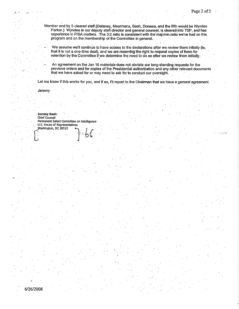Member and by 5 cleared staff (Delaney, Meermans, Bash, Donesa, and the fifth would be Wyndee Parker.) Wyndee is our deputy staff director and general counsel, is cleared into TSP, and has experience in FISA matters. The 3:2 ratio is consistent with the maj:min ratio we've had on this program and on the membership of the Committee in general.

We assume we'll continue to have access to the declarations after we review them initially (ie, that it is not a one-time deal), and we are reserving the right to request copies of them for retention by the Committee if we determine the need to do so after we review them initially.

An agreement on the Jan 10 materials does not obviate our long-standing requests for the previous orders and for copies of the Presidential authorization and any other relevant documents that we have asked for or may need to ask for to conduct our oversight.

Let me know if this works for you, and if so, I'll report to the Chairman that we have a general agreement.

Jeremy

6/26/2008

Jeremy Bash Chief Counsel Permanent Select Committee on Intelligence U.S. House of Representatives Washington, DC 20515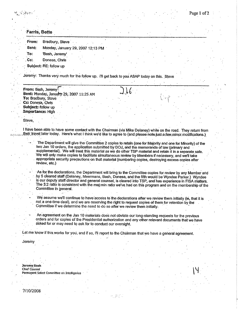## **Farris, Bette**

| <b>From:</b> | Bradbury, Steve                   |  |  |
|--------------|-----------------------------------|--|--|
| Seht:        | Monday, January 29, 2007 12:13 PM |  |  |
| To:          | 'Bash, Jeremy'                    |  |  |
| Cc:          | Donesa, Chris                     |  |  |
|              | Subject: RE: follow up            |  |  |

Jeremy: Thanks very much for the follow up. I'll get back to you ASAP today on this. Steve

From: Bash, Jeremy Sent: Monday, January 29, 2007 11:25 AM To: Bradbury, Steve Cc: Donesa, Chris Subject: follow up Importance: High

Steve.

I have been able to have some contact with the Chairman (via Mike Delaney) while on the road. They return from their travel later today. Here's what I think we'd like to agree to (and please note just a few minor modifications.)

The Department will give the Committee 2 copies to retain (one for Majority and one for Minority) of the two Jan 10 orders, the application submitted by DOJ, and the memoranda of law (primary and supplemental). We will treat this material as we do other TSP material and retain it in a separate safe. We will only make copies to facilitate simultaneous review by Members if necessary, and we'll take appropriate security precautions on that material (numbering copies, destroying excess copies after review, etc.)

As for the declarations, the Department will bring to the Committee copies for review by any Member and by 5 cleared staff (Delaney, Meermans, Bash, Donesa, and the fifth would be Wyndee Parker.) Wyndee is our deputy staff director and general counsel, is cleared into TSP, and has experience in FISA matters. The 3:2 ratio is consistent with the maj: min ratio we've had on this program and on the membership of the Committee in general.

We assume we'll continue to have access to the declarations after we review them initially (ie, that it is not a one-time deal), and we are reserving the right to request copies of them for retention by the Committee if we determine the need to do so after we review them initially.

An agreement on the Jan 10 materials does not obviate our long-standing requests for the previous orders and for copies of the Presidential authorization and any other relevant documents that we have asked for or may need to ask for to conduct our oversight.

Let me know if this works for you, and if so, I'll report to the Chairman that we have a general agreement.

Jeremv

Jeremy Bash

Chief Counsel

Permanent Select Committee on Intelligence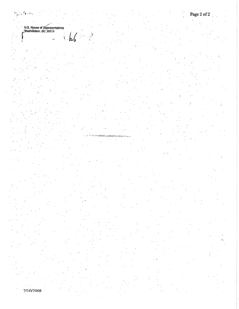$\mathcal{L}_{\mathbf{p},\mathbf{q},\mathbf{q},\mathbf{p}}$ 

સ્તુ

b6

۱

7/10/2008

Page 2 of 2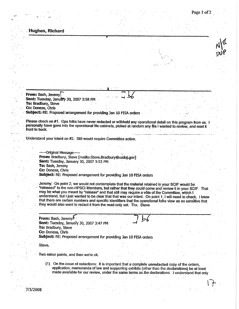#### Hughes, Richard

From: Bash, Jeremy Sent: Tuesday, January 30, 2007 3:58 PM To: Bradbury, Steve Cc: Donesa, Chris:

Subject: RE: Proposed arrangement for providing Jan 10 FISA orders

Please check on #1. Ops folks have never redacted or withheld any operational detail on this program from us. 1 personally have gone into the operational file cabinets, picked at random any file I wanted to review, and read it front to back.

Understand your intent on #2. Still would require Committee action

--Original Message-From: Bradbury, Steve [mailto:Steve.Bradbury@usdoj.gov] Sent: Tuesday, January 30, 2007 3:53 PM To: Bash, Jeremy Cc: Donesa, Chris Subject: RE: Proposed arrangement for providing Jan 10 FISA orders

Jeremy: On point 2, we would not contemplate that the material retained in your SCIF would be "released" to the non-HPSCI Members, but rather that they could come and review it in your SCIF. That may be what you meant by "release" and that still may require a vote of the Committee, which I understand, but I just wanted to be clear that that was our intent. On point 1, I will need to check, I know that there are certain numbers and specific identifiers that the operational folks view as so sensitive that they would also want to redact it from the read-only set. Thx. Steve

From: Bash, Jeremy<sup>l</sup> Sent: Tuesday, January 30, 2007 3:47 PM To: Bradbury, Steve Cc: Donesa, Chris Subject: RE: Proposed arrangement for providing Jan 10 FISA orders

Steve,

Two minor points, and then we're ok.

(1) On the issue of redactions: It is important that a complete unredacted copy of the orders, application, memoranda of law and supporting exhibits (other than the declarations) be at least made available for our review, under the same terms as the declarations. I understand that only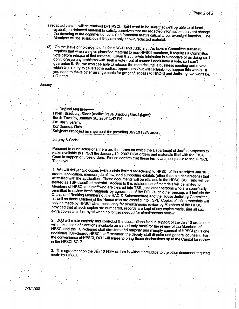a redacted version will be retained by HPSCI. But I want to be sure that we'll be able to at least eyeball the redacted material to satisfy ourselves that the redacted information does not change the meaning of the document or contain information that is critical to our oversight function. The Members will be suspicious if they are only shown redacted material.

On the issue of holding material for HAC-D and Judiciary: We have a Committee rule that requires that when we give classified material to non-HPSCI members, it requires a Committee vote before release of that material. Given that the Administration is supportive of us doing so, I don't foresee any problems with such a vote - but of course I don't have a vote, so I can't guarantee it. So, we won't be able to release the material until a business meeting and a vote, which we can try to have at the earliest opportunity (but will certainly not happen this week). If you need to make other arrangements for granting access to HAC-D and Judiciary, we won't be offended.

#### Jeremy

-Original Message-From: Bradbury, Steve [mailto:Steve.Bradbury@usdoj.gov] Sent: Tuesday, January 30, 2007 2:47 PM To: Bash, Jeremy Cc: Donesa, Chris Subject: Proposed arrangement for providing Jan 10 FISA orders

Jeremy & Chris:

Pursuant to our discussions, here are the terms on which the Department of Justice proposes to make available to HPSCI the January 10, 2007 FISA orders and materials filed with the FISA Court in support of those orders. Please confirm that these terms are acceptable to the HPSCI. Thank you!

1. We will deliver two copies (with certain limited redactions) to HPSCI of the classified Jan 10 orders, application, memoranda of law, and supporting exhibits (other than the declarations) that were filed with the application. These documents will be retained in the HPSCI SCIF and will be treated as TSP-classified material. Access to this retained set of materials will be limited to Members of HPSCI and staff who are cleared into TSP, plus other persons who are specifically permitted to review these materials by agreement of the DOJ (such other persons will include the Chairs and Ranking Members of the HAC-D Subcommittee and the House Judiciary Committee, as well as those Leaders of the House who are cleared into TSP). Copies of these materials will only be made by HPSCI when necessary for simultaneous review by Members of the HPSCI, provided that all such copies are numbered, records are kept of any copies made, and all such extra copies are destroyed when no longer needed for simultaneous review.

2. DOJ will retain custody and control of the declarations filed in support of the Jan 10 orders but will make these declarations available on a read-only basis for the review of the Members of HPSCI and the TSP-cleared staff directors and majority and minority counsel of HPSCI (plus one additional TSP-cleared HPSCI staff member, the deputy staff director and general counsel). For the convenience of HPSCI, DOJ will agree to bring these declarations up to the Capitol for review in the HPSCI SCIF.

3. This agreement on the Jan 10 FISA orders is without prejudice to the other document requests made by HPSCI.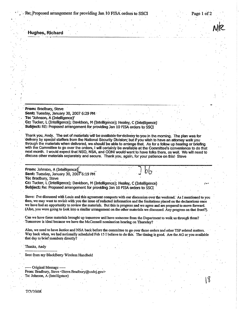e: Proposed arrangement for providing Jan 10 FISA orders to SSCI

Page 1 of 2

Hughes, Richard

From: Bradbury, Steve Sent: Tuesday, January 30, 2007 6:29 PM To: 'Johnson, A (Intelligence)'

Cc: Tucker, L (Intelligence); Davidson, M (Intelligence); Healey, C (Intelligence) Subject: RE: Proposed arrangement for providing Jan 10 FISA orders to SSCI

Thank you, Andy. The set of materials will be available for delivery to you in the morning. The plan was for delivery by special staffers from the National Security Division; but if you wish to have an attorney walk you through the materials when delivered, we should be able to arrange that. As for a follow up hearing or briefing with the Committee to go over the orders, I will certainly be available at the Committee's convenience to do that next month. I would expect that NSD, NSA, and ODNI would want to have folks there, as well. We will need to discuss other materials separately and secure. Thank you, again, for your patience on this! Steve

From: Johnson, A (Intelligence) Sent: Tuesday, January 30, 2007 6:19 PM To: Bradbury, Steve

Cc: Tucker, L (Intelligence); Davidson, M (Intelligence); Healey, C (Intelligence) Subject: Re: Proposed arrangement for providing Jan 10 FISA orders to SSCT

Steve: I've discussed with Louis and this agreement comports with our discussion over the weekend. As I mentioned to you then, we may want to revisit with you the issue of redacted information and the limitations placed on the declarations once we have had an opportunity to review the materials. But this is progress and we agree and are prepared to move forward. (Also, you were going to look into a similar arrangement on the other materials we discussed. Any progress on that front?)

Can we have these materials brought up tomorrow and have someone from the Department to walk us through them? Tomorrow is ideal because we have the McConnell nomination hearing on Thursday?

Also, we need to have Justice and NSA back before the committee to go over these orders and other TSP related matters. Way back when, we had notionally scheduled Feb 15 I believe to do this. The timing is good. Are the AG or you available that day to brief members directly?

Thanks, Andy

Sent from my BlackBerry Wireless Handheld

- Original Message -----From: Bradbury, Steve <Steve.Bradbury@usdoj.gov> To: Johnson, A (Intelligence)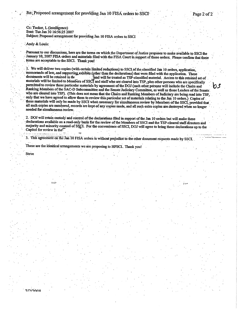Cc: Tucker, L (Intelligence) Sent: Tue Jan 30 16:56:25 2007 Subject: Proposed arrangement for providing Jan 10 FISA orders to SSCI

Andy & Louis:

Pursuant to our discussions, here are the terms on which the Department of Justice proposes to make available to SSCI the January 10, 2007 FISA orders and materials filed with the FISA Court in support of those orders. Please confirm that these terms are acceptable to the SSCI. Thank you!

1. We will deliver two copies (with certain limited redactions) to SSCI of the classified Jan 10 orders, application, memoranda of law, and supporting exhibits (other than the declarations) that were filed with the application. These documents will be retained in the and will be treated as TSP-classified material. Access to this retained set of materials will be limited to Members of SSCI and staff who are cleared into TSP, plus other persons who are specifically permitted to review these particular materials by agreement of the DOJ (such other persons will include the Chairs and Ranking Members of the SAC-D Subcommittee and the Senate Judiciary Committee, as well as those Leaders of the Senate. who are cleared into TSP). (This does not mean that the Chairs and Ranking Members of Judiciary are being read into TSP, only that we have agreed to allow them to review this particular set of materials relating to the Jan 10 orders.) Copies of these materials will only be made by SSCI when necessary for simultaneous review by Members of the SSCI, provided that all such copies are numbered, records are kept of any copies made, and all such extra copies are destroyed when no longer needed for simultaneous review.

2. DOJ will retain custody and control of the declarations filed in support of the Jan 10 orders but will make these declarations available on a read-only basis for the review of the Members of SSCI and the TSP-cleared staff directors and majority and minority counsel of SSCI. For the convenience of SSCI, DOJ will agree to bring these declarations up to the Capitol for review in the<sup>7</sup> 

3. This agreement on the Jan 10 FISA orders is without prejudice to the other document requests made by SSCI

These are the identical arrangements we are proposing to HPSCI. Thank you!

**Steve** 

*าเวเ*วกกด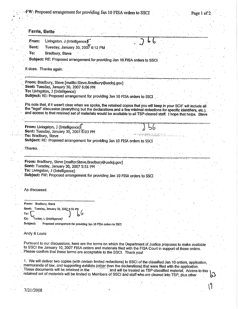| <b>Farris, Bette</b>                                                                                                                                                                                                                           |                                   |                                                                |  |  |  |
|------------------------------------------------------------------------------------------------------------------------------------------------------------------------------------------------------------------------------------------------|-----------------------------------|----------------------------------------------------------------|--|--|--|
| Livingston, J (Intelligence)<br>From:                                                                                                                                                                                                          |                                   |                                                                |  |  |  |
| Sent:                                                                                                                                                                                                                                          | Tuesday, January 30, 2007 6:12 PM |                                                                |  |  |  |
| Bradbury, Steve<br>To:                                                                                                                                                                                                                         |                                   |                                                                |  |  |  |
| Subject: RE: Proposed arrangement for providing Jan 10 FISA orders to SSCI                                                                                                                                                                     |                                   |                                                                |  |  |  |
|                                                                                                                                                                                                                                                |                                   |                                                                |  |  |  |
| It does. Thanks again.                                                                                                                                                                                                                         |                                   |                                                                |  |  |  |
|                                                                                                                                                                                                                                                |                                   |                                                                |  |  |  |
| From: Bradbury, Steve [mailto:Steve.Bradbury@usdoj.gov]                                                                                                                                                                                        |                                   |                                                                |  |  |  |
| Sent: Tuesday, January 30, 2007 6:06 PM                                                                                                                                                                                                        |                                   |                                                                |  |  |  |
| To: Livingston, J (Intelligence)                                                                                                                                                                                                               |                                   |                                                                |  |  |  |
| Subject: RE: Proposed arrangement for providing Jan 10 FISA orders to SSCI                                                                                                                                                                     |                                   |                                                                |  |  |  |
|                                                                                                                                                                                                                                                |                                   |                                                                |  |  |  |
| PIs note that, if it wasn't clear when we spoke, the retained copies that you will keep in your SCIF will include all<br>the "legal" discussion (everything but the declarations and a few minimal redactions for specific identifiers, etc.), |                                   |                                                                |  |  |  |
| and access to that retained set of materials would be available to all TSP-cleared staff. I hope that helps. Steve                                                                                                                             |                                   |                                                                |  |  |  |
|                                                                                                                                                                                                                                                |                                   |                                                                |  |  |  |
|                                                                                                                                                                                                                                                |                                   |                                                                |  |  |  |
| From: Livingston, J (Intelligence)<br>Sent: Tuesday, January 30, 2007 6:03 PM                                                                                                                                                                  |                                   |                                                                |  |  |  |
| To: Bradbury, Steve                                                                                                                                                                                                                            |                                   |                                                                |  |  |  |
| Subject: RE: Proposed arrangement for providing Jan 10 FISA orders to SSCI                                                                                                                                                                     |                                   |                                                                |  |  |  |
|                                                                                                                                                                                                                                                |                                   |                                                                |  |  |  |
| Thanks.                                                                                                                                                                                                                                        |                                   |                                                                |  |  |  |
|                                                                                                                                                                                                                                                |                                   |                                                                |  |  |  |
| From: Bradbury, Steve [mailto:Steve.Bradbury@usdoj.gov]                                                                                                                                                                                        |                                   |                                                                |  |  |  |
| Sent: Tuesday, January 30, 2007 5:51 PM                                                                                                                                                                                                        |                                   |                                                                |  |  |  |
| To: Livingston, J (Intelligence)                                                                                                                                                                                                               |                                   |                                                                |  |  |  |
| Subject: FW: Proposed arrangement for providing Jan 10 FISA orders to SSCI                                                                                                                                                                     |                                   |                                                                |  |  |  |
|                                                                                                                                                                                                                                                |                                   |                                                                |  |  |  |
| As discussed.                                                                                                                                                                                                                                  |                                   |                                                                |  |  |  |
|                                                                                                                                                                                                                                                |                                   |                                                                |  |  |  |
|                                                                                                                                                                                                                                                |                                   |                                                                |  |  |  |
| From: Bradbury, Steve                                                                                                                                                                                                                          |                                   |                                                                |  |  |  |
| Sent: Tuesday, January 30, 2007 4:56 PM                                                                                                                                                                                                        |                                   |                                                                |  |  |  |
| To:                                                                                                                                                                                                                                            |                                   |                                                                |  |  |  |
| 'Tucker, L (Intelligence)'<br>Çс.                                                                                                                                                                                                              |                                   |                                                                |  |  |  |
| Proposed arrangement for providing Jan 10 FISA orders to SSCI<br>Subject:                                                                                                                                                                      |                                   |                                                                |  |  |  |
|                                                                                                                                                                                                                                                |                                   |                                                                |  |  |  |
| Andy & Louis:                                                                                                                                                                                                                                  |                                   |                                                                |  |  |  |
|                                                                                                                                                                                                                                                |                                   |                                                                |  |  |  |
| Pursuant to our discussions, here are the terms on which the Department of Justice proposes to make available                                                                                                                                  |                                   |                                                                |  |  |  |
|                                                                                                                                                                                                                                                |                                   |                                                                |  |  |  |
|                                                                                                                                                                                                                                                |                                   |                                                                |  |  |  |
|                                                                                                                                                                                                                                                |                                   |                                                                |  |  |  |
| to SSCI the January 10, 2007 FISA orders and materials filed with the FISA Court in support of those orders.<br>Please confirm that these terms are acceptable to the SSCI. Thank you!                                                         |                                   |                                                                |  |  |  |
| 1. We will deliver two copies (with certain limited redactions) to SSCI of the classified Jan 10 orders, application,<br>memoranda of law, and supporting exhibits (other than the declarations) that were filed with the application.         |                                   |                                                                |  |  |  |
|                                                                                                                                                                                                                                                |                                   | and will be treated as TSP-classified material. Access to this |  |  |  |
| These documents will be retained in the<br>retained set of materials will be limited to Members of SSCI and staff who are cleared into TSP, plus other                                                                                         |                                   |                                                                |  |  |  |

 $\frac{1}{\sqrt{2}}$ 

 $\frac{1}{2}$ 

 $\ddot{\phantom{a}}$ 

Ž,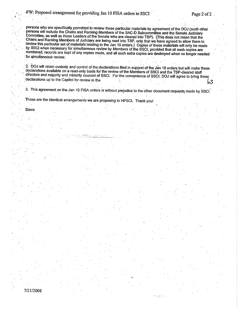Page  $2$  of  $2$ 

persons who are specifically permitted to review these particular materials by agreement of the DOJ (such other persons will include the Chairs and Ranking Members of the SAC-D Subcommittee and the Senate Judiciary Committee, as well as those Leaders of the Senate who are cleared into TSP). (This does not mean that the Chairs and Ranking Members of Judiciary are being read into TSP, only that we have agreed to allow them to<br>review this particular set of materials relating to the Jan 10 orders.) Copies of these materials will only be made by SSCI when necessary for simultaneous review by Members of the SSCI, provided that all such copies are numbered, records are kept of any copies made, and all such extra copies are destroyed when no longer needed for simultaneous review.

2. DOJ will retain custody and control of the declarations filed in support of the Jan 10 orders but will make these declarations available on a read-only basis for the review of the Members of SSCI and the TSP-cleared staff directors and majority and minority counsel of SSCI. For the convenience of SSCI, DOJ will agree to bring these declarations up to the Capitol for review in the 63

3. This agreement on the Jan 10 FISA orders is without prejudice to the other document requests made by SSCI.

中国主义

These are the identical arrangements we are proposing to HPSCI. Thank you!

Steve

7/21/2008